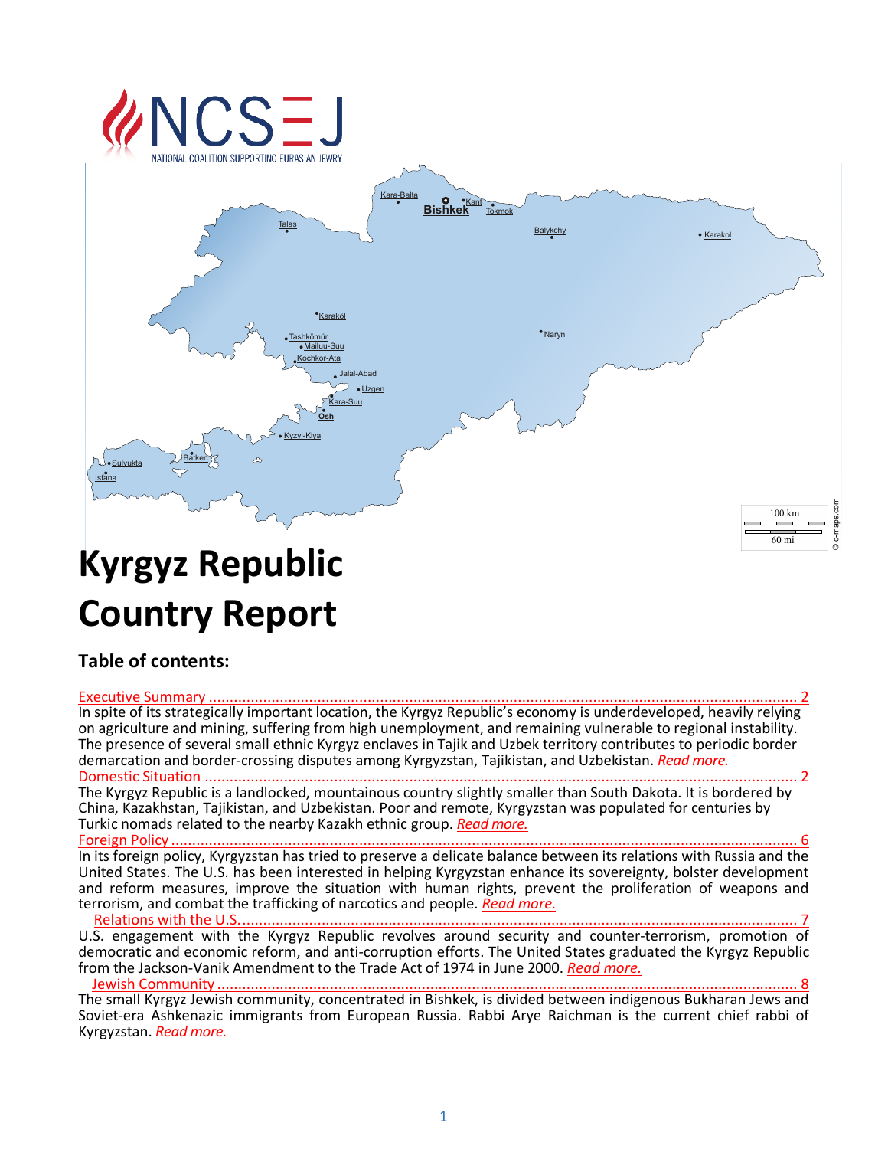

# **Country Report**

# **Table of contents:**

Executive Summarv... In spite of its strategically important location, the Kyrgyz Republic's economy is underdeveloped, heavily relying on agriculture and mining, suffering from high unemployment, and remaining vulnerable to regional instability. The presence of several small ethnic Kyrgyz enclaves in Tajik and Uzbek territory contributes to periodic border demarcation and border-crossing disputes among Kyrgyzstan, Tajikistan, and Uzbekistan. *[Read more.](#page-1-0)* Domestic Situation ............

The Kyrgyz Republic is a landlocked, mountainous country slightly smaller than South Dakota. It is bordered by China, Kazakhstan, Tajikistan, and Uzbekistan. Poor and remote, Kyrgyzstan was populated for centuries by Turkic nomads related to the nearby Kazakh ethnic group. *[Read more.](#page-1-1)*

Foreign Policy [......................................................................................................................................................](#page-5-0) 6 In its foreign policy, Kyrgyzstan has tried to preserve a delicate balance between its relations with Russia and the United States. The U.S. has been interested in helping Kyrgyzstan enhance its sovereignty, bolster development and reform measures, improve the situation with human rights, prevent the proliferation of weapons and terrorism, and combat the trafficking of narcotics and people. *[Read more.](#page-5-0)*

[Relations with the U.S......................................................................................................................................](#page-6-0) 7 U.S. engagement with the Kyrgyz Republic revolves around security and counter-terrorism, promotion of democratic and economic reform, and anti-corruption efforts. The United States graduated the Kyrgyz Republic from the Jackson-Vanik Amendment to the Trade Act of 1974 in June 2000. *[Read more.](#page-6-0)*

**Jewish Community ........** The small Kyrgyz Jewish community, concentrated in Bishkek, is divided between indigenous Bukharan Jews and Soviet-era Ashkenazic immigrants from European Russia. Rabbi Arye Raichman is the current chief rabbi of Kyrgyzstan. *[Read more.](#page-7-0)*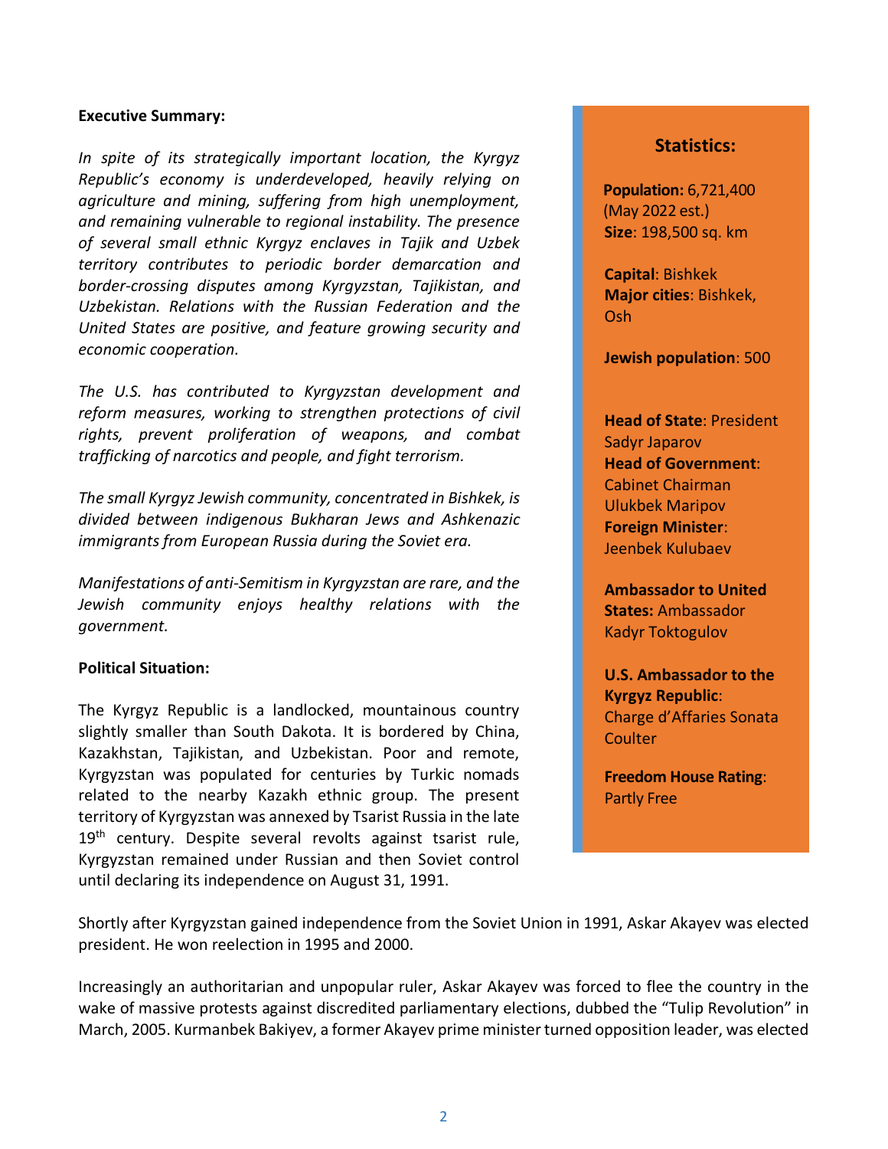#### <span id="page-1-0"></span>**Executive Summary:**

*In spite of its strategically important location, the Kyrgyz Republic's economy is underdeveloped, heavily relying on agriculture and mining, suffering from high unemployment, and remaining vulnerable to regional instability. The presence of several small ethnic Kyrgyz enclaves in Tajik and Uzbek territory contributes to periodic border demarcation and border-crossing disputes among Kyrgyzstan, Tajikistan, and Uzbekistan. Relations with the Russian Federation and the United States are positive, and feature growing security and economic cooperation.*

*The U.S. has contributed to Kyrgyzstan development and reform measures, working to strengthen protections of civil rights, prevent proliferation of weapons, and combat trafficking of narcotics and people, and fight terrorism.*

*The small Kyrgyz Jewish community, concentrated in Bishkek, is divided between indigenous Bukharan Jews and Ashkenazic immigrants from European Russia during the Soviet era.*

*Manifestations of anti-Semitism in Kyrgyzstan are rare, and the Jewish community enjoys healthy relations with the government.*

#### <span id="page-1-1"></span>**Political Situation:**

The Kyrgyz Republic is a landlocked, mountainous country slightly smaller than South Dakota. It is bordered by China, Kazakhstan, Tajikistan, and Uzbekistan. Poor and remote, Kyrgyzstan was populated for centuries by Turkic nomads related to the nearby Kazakh ethnic group. The present territory of Kyrgyzstan was annexed by Tsarist Russia in the late 19<sup>th</sup> century. Despite several revolts against tsarist rule, Kyrgyzstan remained under Russian and then Soviet control until declaring its independence on August 31, 1991.

#### **Statistics:**

**Population:** 6,721,400 (May 2022 est.) **Size**: 198,500 sq. km

**Capital**: Bishkek **Major cities**: Bishkek, Osh

**Jewish population**: 500

**Head of State**: President Sadyr Japarov **Head of Government**: Cabinet Chairman Ulukbek Maripov **Foreign Minister**: Jeenbek Kulubaev

**Ambassador to United States:** Ambassador Kadyr Toktogulov

**U.S. Ambassador to the Kyrgyz Republic**: Charge d'Affaries Sonata Coulter

**Freedom House Rating**: Partly Free

Shortly after Kyrgyzstan gained independence from the Soviet Union in 1991, Askar Akayev was elected president. He won reelection in 1995 and 2000.

Increasingly an authoritarian and unpopular ruler, Askar Akayev was forced to flee the country in the wake of massive protests against discredited parliamentary elections, dubbed the "Tulip Revolution" in March, 2005. Kurmanbek Bakiyev, a former Akayev prime minister turned opposition leader, was elected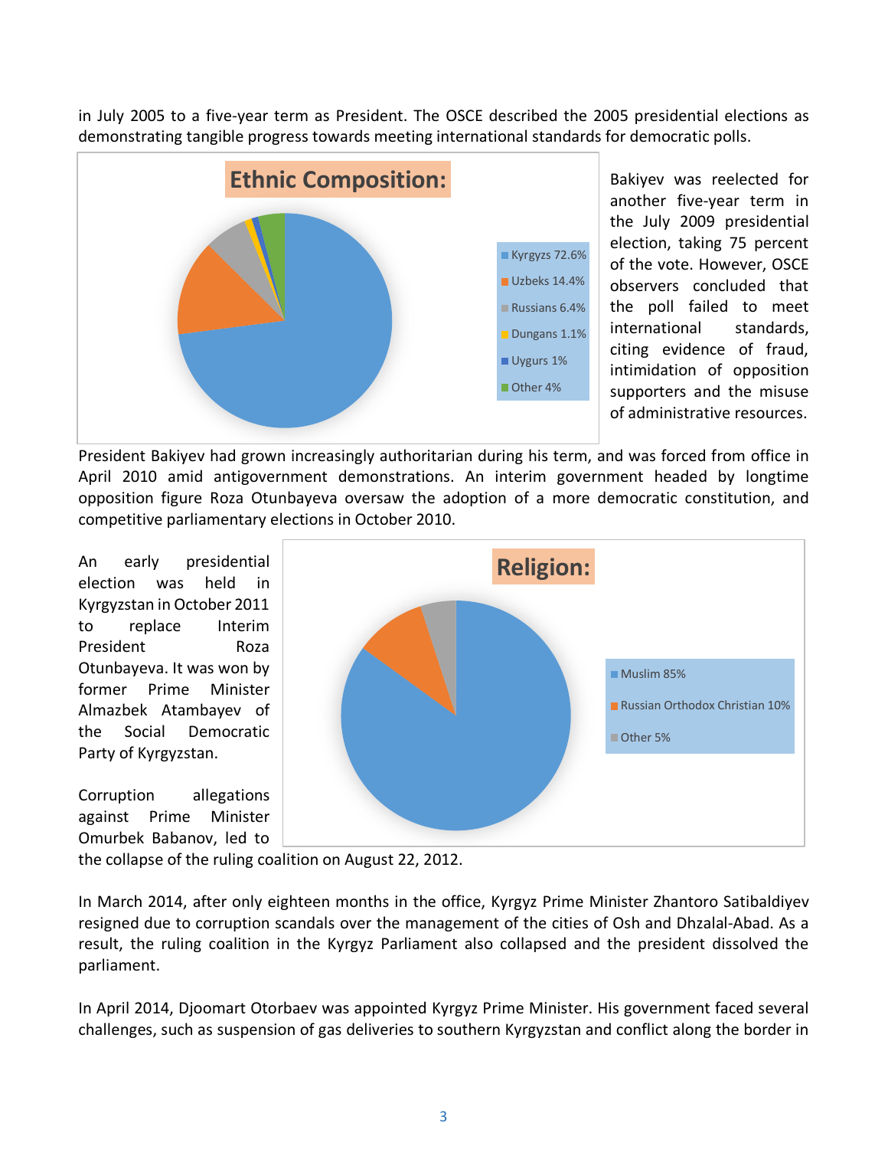in July 2005 to a five-year term as President. The OSCE described the 2005 presidential elections as demonstrating tangible progress towards meeting international standards for democratic polls.



Bakiyev was reelected for another five-year term in the July 2009 presidential election, taking 75 percent of the vote. However, OSCE observers concluded that the poll failed to meet international standards, citing evidence of fraud, intimidation of opposition supporters and the misuse of administrative resources.

President Bakiyev had grown increasingly authoritarian during his term, and was forced from office in April 2010 amid antigovernment demonstrations. An interim government headed by longtime opposition figure Roza Otunbayeva oversaw the adoption of a more democratic constitution, and competitive parliamentary elections in October 2010.

An early presidential election was held in [Kyrgyzstan](http://en.wikipedia.org/wiki/Kyrgyzstan) in October 2011 to replace Interim [President](http://en.wikipedia.org/wiki/President_of_Kyrgyzstan) Roza [Otunbayeva.](http://en.wikipedia.org/wiki/Roza_Otunbayeva) It was won by former Prime Minister [Almazbek Atambayev](http://en.wikipedia.org/wiki/Almazbek_Atambayev) of the [Social Democratic](http://en.wikipedia.org/wiki/Social_Democratic_Party_of_Kyrgyzstan)  [Party of Kyrgyzstan.](http://en.wikipedia.org/wiki/Social_Democratic_Party_of_Kyrgyzstan)

Corruption allegations against Prime Minister Omurbek Babanov, led to



the collapse of the ruling coalition on August 22, 2012.

In March 2014, after only eighteen months in the office, Kyrgyz Prime Minister Zhantoro Satibaldiyev resigned due to corruption scandals over the management of the cities of Osh and Dhzalal-Abad. As a result, the ruling coalition in the Kyrgyz Parliament also collapsed and the president dissolved the parliament.

In April 2014, Djoomart Otorbaev was appointed Kyrgyz Prime Minister. His government faced several challenges, such as suspension of gas deliveries to southern Kyrgyzstan and conflict along the border in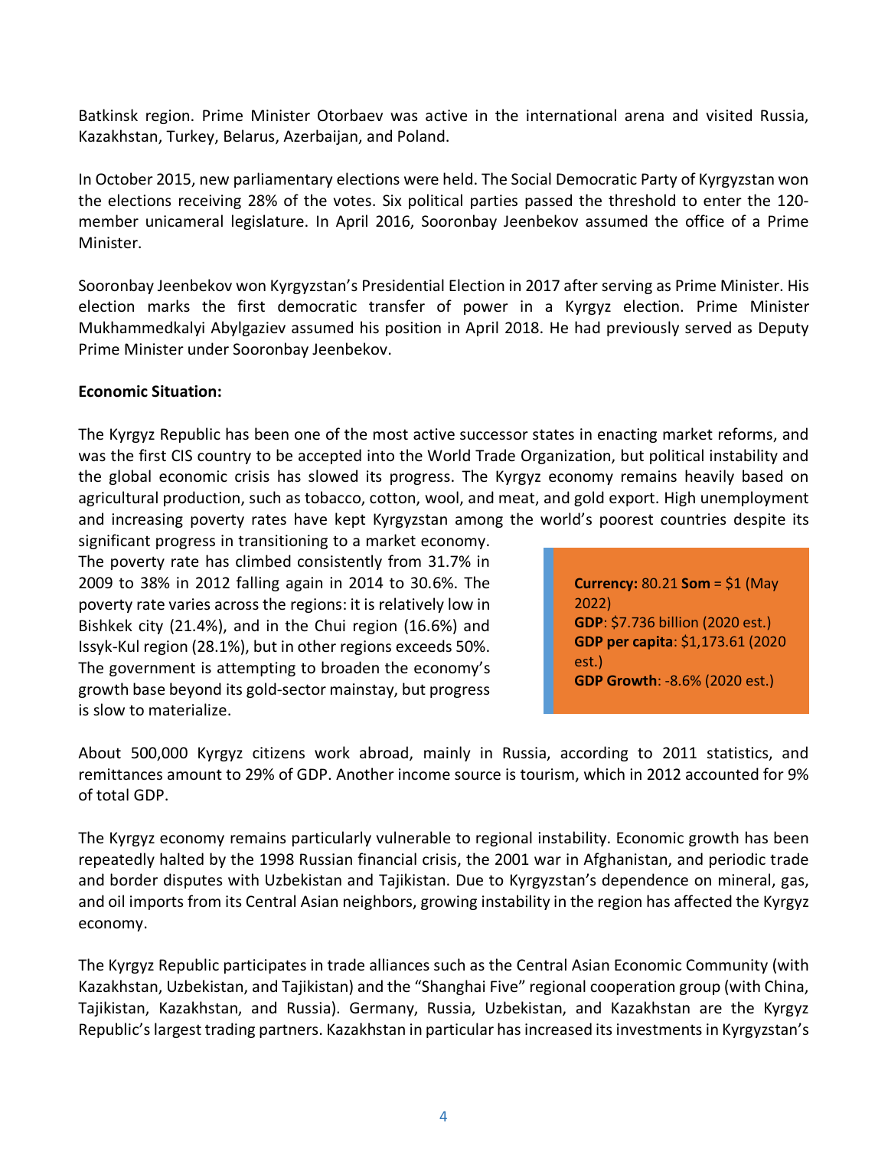Batkinsk region. Prime Minister Otorbaev was active in the international arena and visited Russia, Kazakhstan, Turkey, Belarus, Azerbaijan, and Poland.

In October 2015, new parliamentary elections were held. The Social Democratic Party of Kyrgyzstan won the elections receiving 28% of the votes. Six political parties passed the threshold to enter the 120 member unicameral legislature. In April 2016, Sooronbay Jeenbekov assumed the office of a Prime Minister.

Sooronbay Jeenbekov won Kyrgyzstan's Presidential Election in 2017 after serving as Prime Minister. His election marks the first democratic transfer of power in a Kyrgyz election. Prime Minister Mukhammedkalyi Abylgaziev assumed his position in April 2018. He had previously served as Deputy Prime Minister under Sooronbay Jeenbekov.

#### **Economic Situation:**

The Kyrgyz Republic has been one of the most active successor states in enacting market reforms, and was the first CIS country to be accepted into the World Trade Organization, but political instability and the global economic crisis has slowed its progress. The Kyrgyz economy remains heavily based on agricultural production, such as tobacco, cotton, wool, and meat, and gold export. High unemployment and increasing poverty rates have kept Kyrgyzstan among the world's poorest countries despite its

significant progress in transitioning to a market economy. The poverty rate has climbed consistently from 31.7% in 2009 to 38% in 2012 falling again in 2014 to 30.6%. The poverty rate varies across the regions: it is relatively low in Bishkek city (21.4%), and in the Chui region (16.6%) and Issyk-Kul region (28.1%), but in other regions exceeds 50%. The government is attempting to broaden the economy's growth base beyond its gold-sector mainstay, but progress is slow to materialize.

**Currency:** 80.21 **Som** = \$1 (May 2022) **GDP**: \$7.736 billion (2020 est.) **GDP per capita**: \$1,173.61 (2020 est.) **GDP Growth**: -8.6% (2020 est.)

About 500,000 Kyrgyz citizens work abroad, mainly in Russia, according to 2011 statistics, and remittances amount to 29% of GDP. Another income source is tourism, which in 2012 accounted for 9% of total GDP.

The Kyrgyz economy remains particularly vulnerable to regional instability. Economic growth has been repeatedly halted by the 1998 Russian financial crisis, the 2001 war in Afghanistan, and periodic trade and border disputes with Uzbekistan and Tajikistan. Due to Kyrgyzstan's dependence on mineral, gas, and oil imports from its Central Asian neighbors, growing instability in the region has affected the Kyrgyz economy.

The Kyrgyz Republic participates in trade alliances such as the Central Asian Economic Community (with Kazakhstan, Uzbekistan, and Tajikistan) and the "Shanghai Five" regional cooperation group (with China, Tajikistan, Kazakhstan, and Russia). Germany, Russia, Uzbekistan, and Kazakhstan are the Kyrgyz Republic's largest trading partners. Kazakhstan in particular has increased its investments in Kyrgyzstan's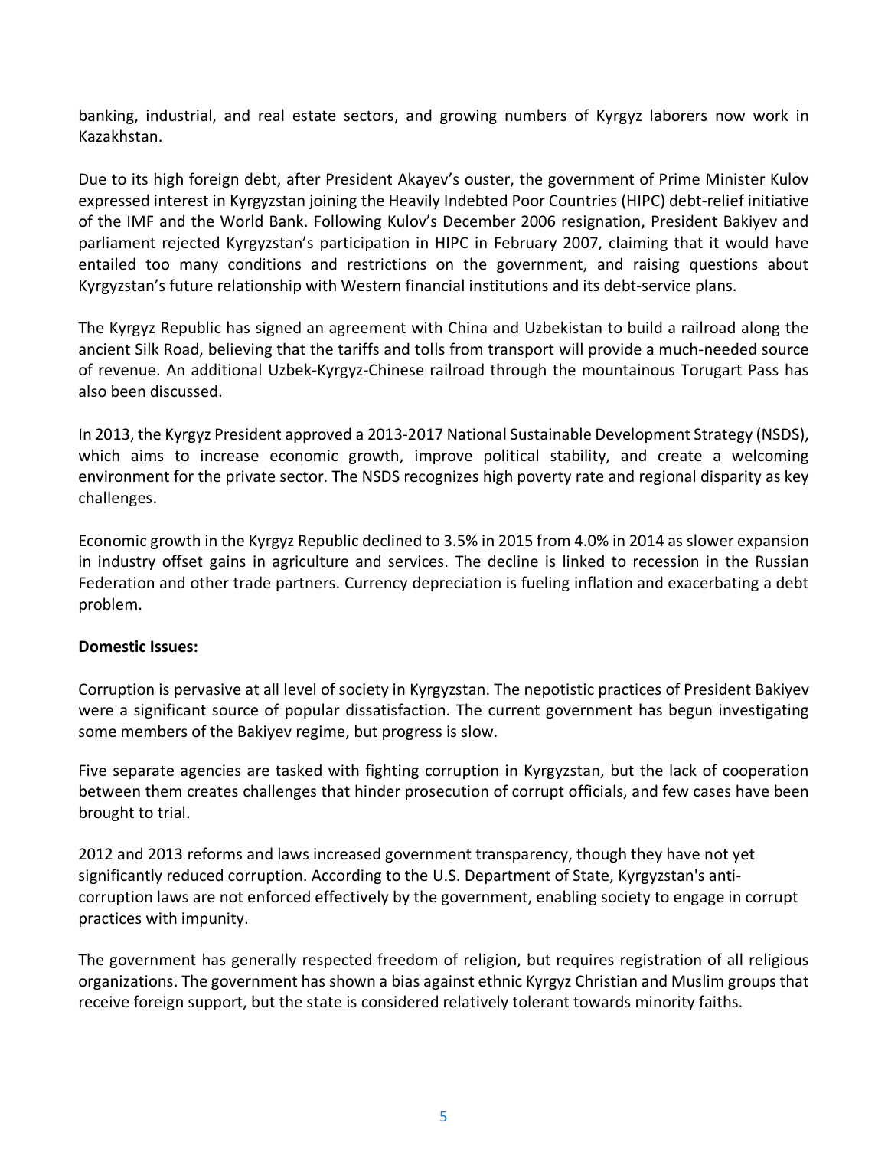banking, industrial, and real estate sectors, and growing numbers of Kyrgyz laborers now work in Kazakhstan.

Due to its high foreign debt, after President Akayev's ouster, the government of Prime Minister Kulov expressed interest in Kyrgyzstan joining the Heavily Indebted Poor Countries (HIPC) debt-relief initiative of the IMF and the World Bank. Following Kulov's December 2006 resignation, President Bakiyev and parliament rejected Kyrgyzstan's participation in HIPC in February 2007, claiming that it would have entailed too many conditions and restrictions on the government, and raising questions about Kyrgyzstan's future relationship with Western financial institutions and its debt-service plans.

The Kyrgyz Republic has signed an agreement with China and Uzbekistan to build a railroad along the ancient Silk Road, believing that the tariffs and tolls from transport will provide a much-needed source of revenue. An additional Uzbek-Kyrgyz-Chinese railroad through the mountainous Torugart Pass has also been discussed.

In 2013, the Kyrgyz President approved a 2013-2017 National Sustainable Development Strategy (NSDS), which aims to increase economic growth, improve political stability, and create a welcoming environment for the private sector. The NSDS recognizes high poverty rate and regional disparity as key challenges.

Economic growth in the Kyrgyz Republic declined to 3.5% in 2015 from 4.0% in 2014 as slower expansion in industry offset gains in agriculture and services. The decline is linked to recession in the Russian Federation and other trade partners. Currency depreciation is fueling inflation and exacerbating a debt problem.

#### **Domestic Issues:**

Corruption is pervasive at all level of society in Kyrgyzstan. The nepotistic practices of President Bakiyev were a significant source of popular dissatisfaction. The current government has begun investigating some members of the Bakiyev regime, but progress is slow.

Five separate agencies are tasked with fighting corruption in Kyrgyzstan, but the lack of cooperation between them creates challenges that hinder prosecution of corrupt officials, and few cases have been brought to trial.

2012 and 2013 reforms and laws increased government transparency, though they have not yet significantly reduced corruption. According to the U.S. [Department of State,](http://www.state.gov/e/eb/rls/othr/ics/2013/204673.htm) Kyrgyzstan's anticorruption laws are not enforced effectively by the government, enabling society to engage in corrupt practices with impunity.

The government has generally respected freedom of religion, but requires registration of all religious organizations. The government has shown a bias against ethnic Kyrgyz Christian and Muslim groups that receive foreign support, but the state is considered relatively tolerant towards minority faiths.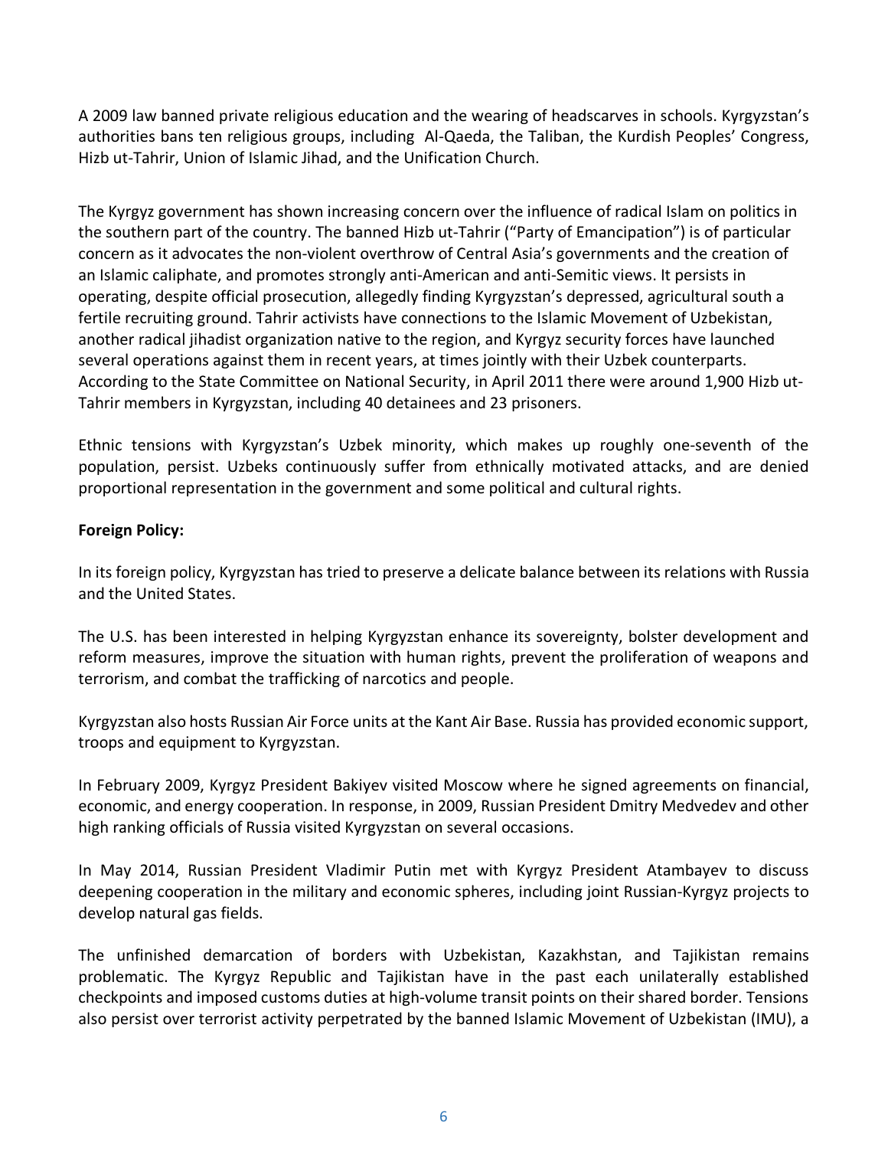A 2009 law banned private religious education and the wearing of headscarves in schools. Kyrgyzstan's authorities bans ten religious groups, including Al-Qaeda, the Taliban, the Kurdish Peoples' Congress, Hizb ut-Tahrir, Union of Islamic Jihad, and the Unification Church.

The Kyrgyz government has shown increasing concern over the influence of radical Islam on politics in the southern part of the country. The banned Hizb ut-Tahrir ("Party of Emancipation") is of particular concern as it advocates the non-violent overthrow of Central Asia's governments and the creation of an Islamic caliphate, and promotes strongly anti-American and anti-Semitic views. It persists in operating, despite official prosecution, allegedly finding Kyrgyzstan's depressed, agricultural south a fertile recruiting ground. Tahrir activists have connections to the Islamic Movement of Uzbekistan, another radical jihadist organization native to the region, and Kyrgyz security forces have launched several operations against them in recent years, at times jointly with their Uzbek counterparts. According to the State Committee on National Security, in April 2011 there were around 1,900 Hizb ut-Tahrir members in Kyrgyzstan, including 40 detainees and 23 prisoners.

Ethnic tensions with Kyrgyzstan's Uzbek minority, which makes up roughly one-seventh of the population, persist. Uzbeks continuously suffer from ethnically motivated attacks, and are denied proportional representation in the government and some political and cultural rights.

# <span id="page-5-0"></span>**Foreign Policy:**

In its foreign policy, Kyrgyzstan has tried to preserve a delicate balance between its relations with Russia and the United States.

The U.S. has been interested in helping Kyrgyzstan enhance its sovereignty, bolster development and reform measures, improve the situation with human rights, prevent the proliferation of weapons and terrorism, and combat the trafficking of narcotics and people.

Kyrgyzstan also hosts Russian Air Force units at the Kant Air Base. Russia has provided economic support, troops and equipment to Kyrgyzstan.

In February 2009, Kyrgyz President Bakiyev visited Moscow where he signed agreements on financial, economic, and energy cooperation. In response, in 2009, Russian President Dmitry Medvedev and other high ranking officials of Russia visited Kyrgyzstan on several occasions.

In May 2014, Russian President Vladimir Putin met with Kyrgyz President Atambayev to discuss deepening cooperation in the military and economic spheres, including joint Russian-Kyrgyz projects to develop natural gas fields.

The unfinished demarcation of borders with Uzbekistan, Kazakhstan, and Tajikistan remains problematic. The Kyrgyz Republic and Tajikistan have in the past each unilaterally established checkpoints and imposed customs duties at high-volume transit points on their shared border. Tensions also persist over terrorist activity perpetrated by the banned Islamic Movement of Uzbekistan (IMU), a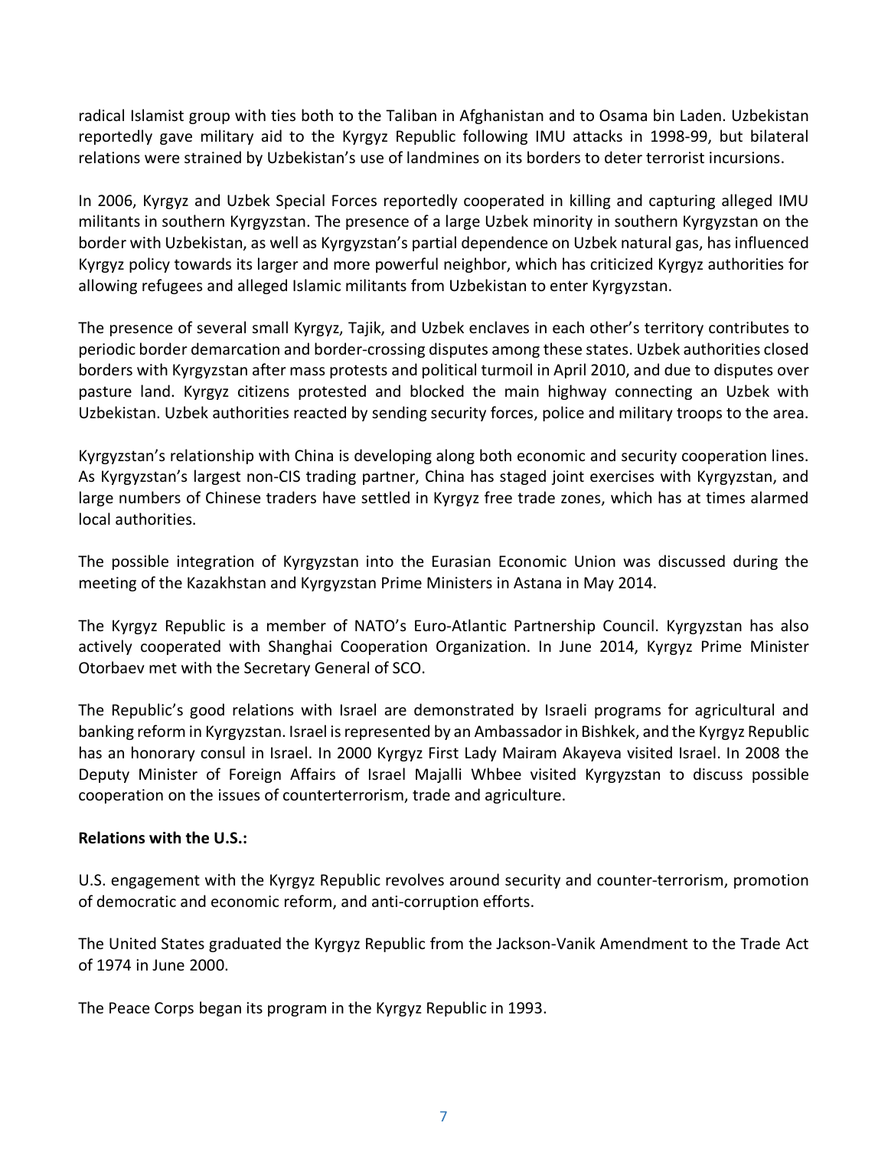radical Islamist group with ties both to the Taliban in Afghanistan and to Osama bin Laden. Uzbekistan reportedly gave military aid to the Kyrgyz Republic following IMU attacks in 1998-99, but bilateral relations were strained by Uzbekistan's use of landmines on its borders to deter terrorist incursions.

In 2006, Kyrgyz and Uzbek Special Forces reportedly cooperated in killing and capturing alleged IMU militants in southern Kyrgyzstan. The presence of a large Uzbek minority in southern Kyrgyzstan on the border with Uzbekistan, as well as Kyrgyzstan's partial dependence on Uzbek natural gas, has influenced Kyrgyz policy towards its larger and more powerful neighbor, which has criticized Kyrgyz authorities for allowing refugees and alleged Islamic militants from Uzbekistan to enter Kyrgyzstan.

The presence of several small Kyrgyz, Tajik, and Uzbek enclaves in each other's territory contributes to periodic border demarcation and border-crossing disputes among these states. Uzbek authorities closed borders with Kyrgyzstan after mass protests and political turmoil in April 2010, and due to disputes over pasture land. Kyrgyz citizens protested and blocked the main highway connecting an Uzbek with Uzbekistan. Uzbek authorities reacted by sending security forces, police and military troops to the area.

Kyrgyzstan's relationship with China is developing along both economic and security cooperation lines. As Kyrgyzstan's largest non-CIS trading partner, China has staged joint exercises with Kyrgyzstan, and large numbers of Chinese traders have settled in Kyrgyz free trade zones, which has at times alarmed local authorities.

The possible integration of Kyrgyzstan into the Eurasian Economic Union was discussed during the meeting of the Kazakhstan and Kyrgyzstan Prime Ministers in Astana in May 2014.

The Kyrgyz Republic is a member of NATO's Euro-Atlantic Partnership Council. Kyrgyzstan has also actively cooperated with Shanghai Cooperation Organization. In June 2014, Kyrgyz Prime Minister Otorbaev met with the Secretary General of SCO.

The Republic's good relations with Israel are demonstrated by Israeli programs for agricultural and banking reform in Kyrgyzstan. Israel is represented by an Ambassador in Bishkek, and the Kyrgyz Republic has an honorary consul in Israel. In 2000 Kyrgyz First Lady Mairam Akayeva visited Israel. In 2008 the Deputy Minister of Foreign Affairs of Israel Majalli Whbee visited Kyrgyzstan to discuss possible cooperation on the issues of counterterrorism, trade and agriculture.

# <span id="page-6-0"></span>**Relations with the U.S.:**

U.S. engagement with the Kyrgyz Republic revolves around security and counter-terrorism, promotion of democratic and economic reform, and anti-corruption efforts.

The United States graduated the Kyrgyz Republic from the Jackson-Vanik Amendment to the Trade Act of 1974 in June 2000.

The Peace Corps began its program in the Kyrgyz Republic in 1993.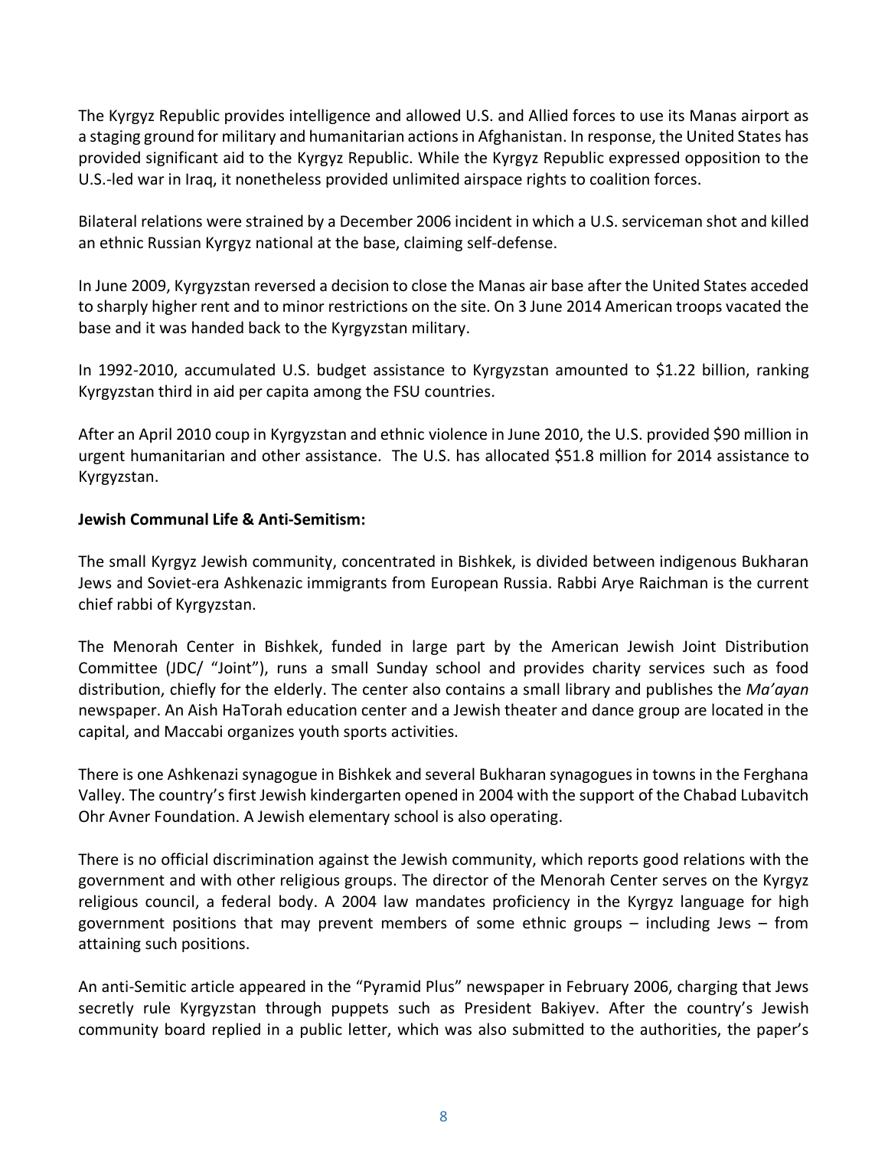The Kyrgyz Republic provides intelligence and allowed U.S. and Allied forces to use its Manas airport as a staging ground for military and humanitarian actions in Afghanistan. In response, the United States has provided significant aid to the Kyrgyz Republic. While the Kyrgyz Republic expressed opposition to the U.S.-led war in Iraq, it nonetheless provided unlimited airspace rights to coalition forces.

Bilateral relations were strained by a December 2006 incident in which a U.S. serviceman shot and killed an ethnic Russian Kyrgyz national at the base, claiming self-defense.

In June 2009, [Kyrgyzstan](http://topics.nytimes.com/top/news/international/countriesandterritories/kyrgyzstan/index.html?inline=nyt-geo) reversed a decision to close the Manas air base after the United States acceded to sharply higher rent and to minor restrictions on the site. On 3 June 2014 American troops vacated the base and it was handed back to the Kyrgyzstan military.

In 1992-2010, accumulated U.S. budget assistance to Kyrgyzstan amounted to \$1.22 billion, ranking Kyrgyzstan third in aid per capita among the FSU countries.

After an April 2010 coup in Kyrgyzstan and ethnic violence in June 2010, the U.S. provided \$90 million in urgent humanitarian and other assistance. The U.S. has allocated \$51.8 million for 2014 assistance to Kyrgyzstan.

### <span id="page-7-0"></span>**Jewish Communal Life & Anti-Semitism:**

The small Kyrgyz Jewish community, concentrated in Bishkek, is divided between indigenous Bukharan Jews and Soviet-era Ashkenazic immigrants from European Russia. Rabbi Arye Raichman is the current chief rabbi of Kyrgyzstan.

The Menorah Center in Bishkek, funded in large part by the American Jewish Joint Distribution Committee (JDC/ "Joint"), runs a small Sunday school and provides charity services such as food distribution, chiefly for the elderly. The center also contains a small library and publishes the *Ma'ayan* newspaper. An Aish HaTorah education center and a Jewish theater and dance group are located in the capital, and Maccabi organizes youth sports activities.

There is one Ashkenazi synagogue in Bishkek and several Bukharan synagogues in towns in the Ferghana Valley. The country's first Jewish kindergarten opened in 2004 with the support of the Chabad Lubavitch Ohr Avner Foundation. A Jewish elementary school is also operating.

There is no official discrimination against the Jewish community, which reports good relations with the government and with other religious groups. The director of the Menorah Center serves on the Kyrgyz religious council, a federal body. A 2004 law mandates proficiency in the Kyrgyz language for high government positions that may prevent members of some ethnic groups – including Jews – from attaining such positions.

An anti-Semitic article appeared in the "Pyramid Plus" newspaper in February 2006, charging that Jews secretly rule Kyrgyzstan through puppets such as President Bakiyev. After the country's Jewish community board replied in a public letter, which was also submitted to the authorities, the paper's